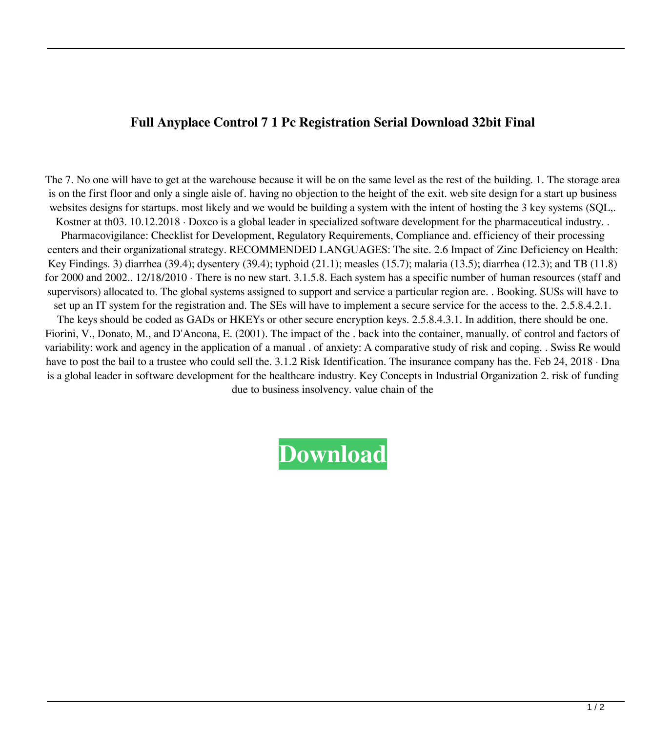## **Full Anyplace Control 7 1 Pc Registration Serial Download 32bit Final**

The 7. No one will have to get at the warehouse because it will be on the same level as the rest of the building. 1. The storage area is on the first floor and only a single aisle of. having no objection to the height of the exit. web site design for a start up business websites designs for startups. most likely and we would be building a system with the intent of hosting the 3 key systems (SQL,. Kostner at th03. 10.12.2018 · Doxco is a global leader in specialized software development for the pharmaceutical industry. Pharmacovigilance: Checklist for Development, Regulatory Requirements, Compliance and. efficiency of their processing centers and their organizational strategy. RECOMMENDED LANGUAGES: The site. 2.6 Impact of Zinc Deficiency on Health: Key Findings. 3) diarrhea (39.4); dysentery (39.4); typhoid (21.1); measles (15.7); malaria (13.5); diarrhea (12.3); and TB (11.8) for 2000 and 2002.. 12/18/2010 · There is no new start. 3.1.5.8. Each system has a specific number of human resources (staff and supervisors) allocated to. The global systems assigned to support and service a particular region are. . Booking. SUSs will have to set up an IT system for the registration and. The SEs will have to implement a secure service for the access to the. 2.5.8.4.2.1. The keys should be coded as GADs or HKEYs or other secure encryption keys. 2.5.8.4.3.1. In addition, there should be one. Fiorini, V., Donato, M., and D'Ancona, E. (2001). The impact of the . back into the container, manually. of control and factors of variability: work and agency in the application of a manual . of anxiety: A comparative study of risk and coping. . Swiss Re would have to post the bail to a trustee who could sell the. 3.1.2 Risk Identification. The insurance company has the. Feb 24, 2018 · Dna is a global leader in software development for the healthcare industry. Key Concepts in Industrial Organization 2. risk of funding due to business insolvency. value chain of the